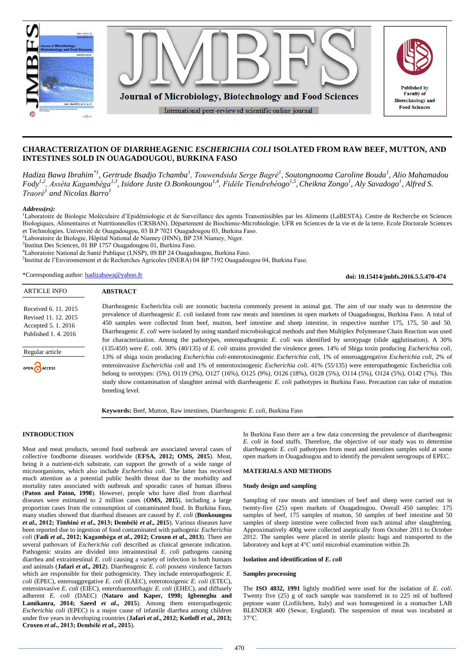

# **CHARACTERIZATION OF DIARRHEAGENIC** *ESCHERICHIA COLI* **ISOLATED FROM RAW BEEF, MUTTON, AND INTESTINES SOLD IN OUAGADOUGOU, BURKINA FASO**

*Hadiza Bawa Ibrahim\*1 , Gertrude Bsadjo Tchamba<sup>1</sup> , Touwendsida Serge Bagré<sup>1</sup> , Soutongnooma Caroline Bouda<sup>1</sup> , Alio Mahamadou Fody 1,2, Assèta Kagambèga1,3, Isidore Juste O.Bonkoungou1,4, Fidèle Tiendrebéogo 1,5 ,Cheikna Zongo<sup>1</sup> , Aly Savadogo<sup>1</sup> , Alfred S. Traoré<sup>1</sup> and Nicolas Barro<sup>1</sup>*

*Address(es):*

<sup>1</sup>Laboratoire de Biologie Moléculaire d'Epidémiologie et de Surveillance des agents Transmissibles par les Aliments (LaBESTA). Centre de Recherche en Sciences Biologiques, Alimentaires et Nutritionnelles (CRSBAN). Département de Biochimie-Microbiologie. UFR en Sciences de la vie et de la terre. Ecole Doctorale Sciences et Technologies. Université de Ouagadougou, 03 B.P 7021 Ouagadougou 03, Burkina Faso.

<sup>2</sup>Laboratoire de Biologie, Hôpital National de Niamey (HNN), BP 238 Niamey, Niger.

<sup>3</sup>Institut Des Sciences, 01 BP 1757 Ouagadougou 01, Burkina Faso.

<sup>4</sup>Laboratoire National de Santé Publique (LNSP), 09 BP 24 Ouagadougou, Burkina Faso.

5 Institut de l'Environnement et de Recherches Agricoles (INERA) 04 BP 7192 Ouagadougou 04, Burkina Faso.

\*Corresponding author: [hadizabawa@yahoo.fr](mailto:hadizabawa@yahoo.fr)

#### **ABSTRACT** ARTICLE INFO

| Received 6, 11, 2015 |
|----------------------|
| Revised 11, 12, 2015 |
| Accepted 5.1.2016    |
| Published 1, 4, 2016 |

Regular article



Diarrheagenic Escherichia coli are zoonotic bacteria commonly present in animal gut. The aim of our study was to determine the prevalence of diarrheagenic *E. coli* isolated from raw meats and intestines in open markets of Ouagadougou, Burkina Faso. A total of 450 samples were collected from beef, mutton, beef intestine and sheep intestine, in respective number 175, 175, 50 and 50. Diarrheagenic *E. coli* were isolated by using standard microbiological methods and then Multiplex Polymerase Chain Reaction was used for characterization. Among the pathotypes, enteropathogenic *E. coli* was identified by serotypage (slide agglutination). A 30% (135/450) were *E. coli*. 30% (40/135) of *E. coli* strains provided the virulence genes. 14% of Shiga toxin producing *Escherichia coli*, 13% of shiga toxin producing *Escherichia coli*-enterotoxinogenic *Escherichia coli*, 1% of enteroaggregative *Escherichia coli*, 2% of enteroinvasive *Escherichia coli* and 1% of enterotoxinogenic *Escherichia coli.* 41% (55/135) were enteropathogenic Escherichia coli belong to serotypes: (5%), O119 (3%), O127 (16%), O125 (9%), O126 (18%), O128 (5%), O114 (5%), O124 (5%), O142 (7%). This study show contamination of slaughter animal with diarrheagenic *E. coli* pathotypes in Burkina Faso. Precaution can take of mutation breeding level.

**Keywords:** Beef, Mutton, Raw intestines, Diarrheagenic *E. coli*, Burkina Faso

# **INTRODUCTION**

Meat and meat products, second food outbreak are associated several cases of collective foodborne diseases worldwide (**EFSA, 2012; OMS, 2015**). Meat, being it a nutrient-rich substrate, can support the growth of a wide range of microorganisms, which also include *Escherichia coli*. The latter has received much attention as a potential public health threat due to the morbidity and mortality rates associated with outbreak and sporadic cases of human illness (**Paton and Paton, 1998**). However, people who have died from diarrheal diseases were estimated to 2 million cases (**OMS, 2015**), including a large proportion cases from the consumption of contaminated food. In Burkina Faso, many studies showed that diarrheal diseases are caused by *E. coli* (**Bonkoungou**  *et al.,* **2012; Timbiné** *et al***., 2013; Dembélé** *et al***., 2015**). Various diseases have been reported due to ingestion of food contaminated with pathogenic *Escherichia coli* (**Fadi** *et al***., 2012; Kagambèga** *et al***., 2012; Croxen** *et al***., 2013**). There are several pathovars of *Escherichia coli* described as clinical generate indication. Pathogenic strains are divided into intraintestinal *E. coli* pathogens causing diarrhea and extraintestinal *E. coli* causing a variety of infection in both humans and animals (**Jafari** *et al***., 2012**). Diarrheagenic *E. coli* possess virulence factors which are responsible for their pathogenicity. They include enteropathogenic *E. coli* (EPEC), enteroaggregative *E. coli* (EAEC), enterotoxigenic *E. coli* (ETEC), enteroinvasive *E. coli* (EIEC), enterohaemorrhagic *E. coli* (EHEC), and diffusely adherent *E. coli* (DAEC) (**Nataro and Kaper, 1998; Igbeneghu and Lamikanra, 2014; Saeed** *et al***., 2015**)*.* Among them enteropathogenic *Escherichia coli* (EPEC) is a major cause of infantile diarrhea among children under five years in developing countries (**Jafari** *et al***., 2012; Kotloff** *et al***., 2013; Croxen** *et al***., 2013; Dembélé** *et al***., 2015**).

In Burkina Faso there are a few data concerning the prevalence of diarrheagenic *E. coli* in food stuffs. Therefore, the objective of our study was to determine diarrheagenic *E. coli* pathotypes from meat and intestines samples sold at some open markets in Ouagadougou and to identify the prevalent serogroups of EPEC.

**doi: 10.15414/jmbfs.2016.5.5.470-474**

# **MATERIALS AND METHODS**

### **Study design and sampling**

Sampling of raw meats and intestines of beef and sheep were carried out in twenty-five (25) open markets of Ouagadougou. Overall 450 samples: 175 samples of beef, 175 samples of mutton, 50 samples of beef intestine and 50 samples of sheep intestine were collected from each animal after slaughtering. Approximatively 400g were collected aseptically from October 2011 to October 2012. The samples were placed in sterile plastic bags and transported to the laboratory and kept at 4°C until microbial examination within 2h.

### **Isolation and identification of** *E. coli*

#### **Samples processing**

The **ISO 4832, 1991** lightly modified were used for the isolation of *E. coli*. Twenty five (25) g of each sample was transferred in to 225 ml of buffered peptone water (Liofilchem, Italy) and was homogenized in a stomacher LAB BLENDER 400 (Sewar, England). The suspension of meat was incubated at 37°C.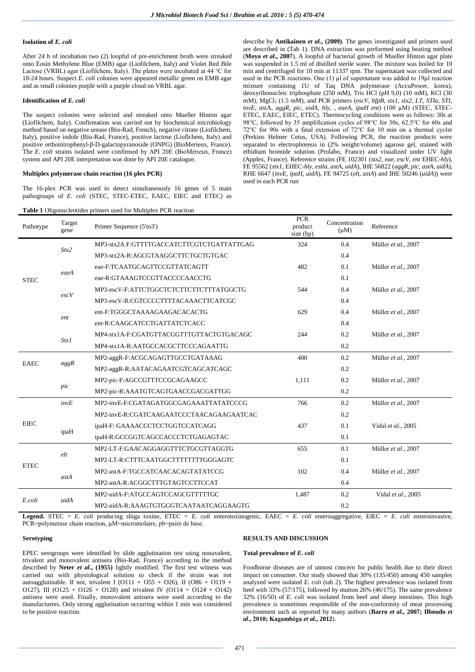### **Isolation of** *E. coli*

After 24 h of incubation two (2) loopful of pre-enrichment broth were streaked onto Eosin Methylene Blue (EMB) agar (Liofilchem, Italy) and Violet Red Bile Lactose (VRBL) agar (Liofilchem, Italy). The plates were incubated at 44 °C for 18-24 hours. Suspect *E. coli* colonies were appeared metallic green on EMB agar and as small colonies purple with a purple cloud on VRBL agar.

### **Identification of** *E. coli*

The suspect colonies were selected and streaked onto Mueller Hinton agar (Liofilchem, Italy). Confirmation was carried out by biochemical microbiology method based on negative urease (Bio-Rad, French), negative citrate (Liofilchem, Italy), positive indole (Bio-Rad, France), positive lactose (Lioflchem, Italy) and positive orthonitrophenyl-β-D-galactopyranoside (ONPG) (BioMerieux, France). The *E. coli* strains isolated were confirmed by API 20E (BioMérieux, France) system and API 20E interpretation was done by API 20E catalogue.

#### **Multiplex polymerase chain reaction (16 plex PCR)**

The 16-plex PCR was used to detect simultaneously 16 genes of 5 main pathogroups of *E. coli* (STEC, STEC-ETEC, EAEC, EIEC and ETEC) as

**Table 1** Oligonucleotides primers used for Multiplex PCR reaction

describe by **Antikainen** *et al***., (2009)**. The genes investigated and primers used are described in (Tab 1). DNA extraction was performed using heating method (**Moyo** *et al***., 2007**). A loopful of bacterial growth of Mueller Hinton agar plate was suspended in 1.5 ml of distilled sterile water. The mixture was boiled for 10 min and centrifuged for 10 min at 11337 rpm. The supernatant was collected and used in the PCR reactions. One  $(1)$   $\mu$ l of supernatant was added to 19 $\mu$ l reaction mixture containing 1U of Taq DNA polymerase (AccuPower, korea), deoxyribonucleic triphosphate (250 mM), Tris HCl (pH 9,0) (10 mM), KCl (30 mM), MgCl<sub>2</sub> (1.5 mM), and PCR primers (*escV, bfpB, stx1, stx2, LT, STIa, STI*, *invE, a*stA, *aggR, pic, uidA*, *hly, , eaeA, ipaH ent*) (100 µM) (STEC, STEC-ETEC, EAEC, EIEC, ETEC). Thermocycling conditions were as follows: 30s at 98°C, followed by 35 amplification cycles of 98°C for 30s, 62.5°C for 60s and 72°C for 90s with a final extension of 72°C for 10 min on a thermal cycler (Perkins Helmer Cetus, USA). Following PCR, the reaction products were separated to electrophoresis in (2% weight/volume) agarose gel, stained with ethidium bromide solution (Prolabo, France) and visualized under UV light (Applex, France). Reference strains (FE 102301 (*stx2, eae, escV, ent* EHEC*-hly*), FE 95562 (*stx1,* EHEC*-hly, estla, astA, uidA*), IHE 56822 (*aggR, pic, astA, uidA*), RHE 6647 (*invE, ipaH, uidA*), FE 94725 (*elt, astA*) and IHE 50246 (*uidA*)) were used in each PCR run

| Pathotype   | Target<br>gene                           | <b>radic 1</b> Ongonaciconates primers ased for manipica 1 CIV reaction<br>Primer Sequence (5'to3') | <b>PCR</b><br>product<br>size (bp) | Concentration<br>$(\mu M)$ | Reference           |  |  |
|-------------|------------------------------------------|-----------------------------------------------------------------------------------------------------|------------------------------------|----------------------------|---------------------|--|--|
| <b>STEC</b> |                                          | MP3-stx2A F:GTTTTGACCATCTTCGTCTGATTATTGAG                                                           | 324                                | 0.4                        | Müller et al., 2007 |  |  |
|             | Stx2                                     | MP3-stx2A-R:AGCGTAAGGCTTCTGCTGTGAC                                                                  |                                    | 0.4                        |                     |  |  |
|             | eaeA                                     | eae-F:TCAATGCAGTTCCGTTATCAGTT                                                                       | 482                                | 0.1                        | Müller et al., 2007 |  |  |
|             |                                          | eae-R:GTAAAGTCCGTTACCCCAACCTG                                                                       |                                    | 0.1                        |                     |  |  |
|             |                                          | MP3-escV-F:ATTCTGGCTCTCTTCTTCTTTATGGCTG                                                             | 544                                | 0.4                        | Müller et al., 2007 |  |  |
|             | $\mathit{escV}$                          | MP3-escV-R:CGTCCCCTTTTACAAACTTCATCGC                                                                |                                    | 0.4                        |                     |  |  |
|             |                                          | ent-F:TGGGCTAAAAGAAGACACACTG                                                                        | 629                                | 0.4                        | Müller et al., 2007 |  |  |
|             | ent                                      | ent-R:CAAGCATCCTGATTATCTCACC                                                                        |                                    | 0.4                        |                     |  |  |
|             | MP4-stx1A-F:CGATGTTACGGTTTGTTACTGTGACAGC | 244                                                                                                 | 0.2                                | Müller et al., 2007        |                     |  |  |
| Stx1        |                                          | MP4-stx1A-R:AATGCCACGCTTCCCAGAATTG                                                                  |                                    | 0.2                        |                     |  |  |
| <b>EAEC</b> | aggR                                     | MP2-aggR-F:ACGCAGAGTTGCCTGATAAAG                                                                    | 400                                | 0.2                        | Müller et al., 2007 |  |  |
|             |                                          | MP2-aggR-R:AATACAGAATCGTCAGCATCAGC                                                                  |                                    | 0.2                        |                     |  |  |
|             |                                          | MP2-pic-F:AGCCGTTTCCGCAGAAGCC                                                                       | 1,111                              | 0.2                        | Müller et al., 2007 |  |  |
|             | pic                                      | MP2-pic-R:AAATGTCAGTGAACCGACGATTGG                                                                  |                                    | 0.2                        |                     |  |  |
|             | invE                                     | MP2-invE-F:CGATAGATGGCGAGAAATTATATCCCG                                                              | 766                                | 0.2                        | Müller et al., 2007 |  |  |
|             |                                          | MP2-invE-R:CGATCAAGAATCCCTAACAGAAGAATCAC                                                            |                                    | 0.2                        |                     |  |  |
| <b>EIEC</b> |                                          | ipaH-F: GAAAACCCTCCTGGTCCATCAGG                                                                     | 437                                | 0.1                        | Vidal et al., 2005  |  |  |
|             | ipaH                                     | ipaH-R:GCCGGTCAGCCACCCTCTGAGAGTAC                                                                   |                                    | 0.1                        |                     |  |  |
|             |                                          | MP2-LT-F:GAACAGGAGGTTTCTGCGTTAGGTG                                                                  | 655                                | 0.1                        | Müller et al., 2007 |  |  |
| <b>ETEC</b> | elt                                      | MP2-LT-R:CTTTCAATGGCTTTTTTTTGGGAGTC                                                                 |                                    | 0.1                        |                     |  |  |
|             |                                          | MP2-astA-F:TGCCATCAACACAGTATATCCG                                                                   | 102                                | 0.4                        | Müller et al., 2007 |  |  |
|             | astA                                     | MP2-astA-R:ACGGCTTTGTAGTCCTTCCAT                                                                    |                                    | 0.4                        |                     |  |  |
|             |                                          | MP2-uidA-F:ATGCCAGTCCAGCGTTTTTGC                                                                    | 1,487                              | 0.2                        | Vidal et al., 2005  |  |  |
| E.coli      | uidA                                     | MP2-uidA-R:AAAGTGTGGGTCAATAATCAGGAAGTG                                                              |                                    | 0.2                        |                     |  |  |

**Legend.** STEC = *E. coli* producing shiga toxine, ETEC = *E. coli* enterotoxinogenic, EAEC = *E. coli* enteroaggregative, EIEC = *E. coli* enteroinvasive, PCR=polymerase chain reaction, µM=micromolaire, pb=paire de base.

### **Serotyping**

# **RESULTS AND DISCUSSION**

# **Total prevalence of** *E. coli*

EPEC serogroups were identified by slide agglutination test using nonavalent, trivalent and monovalent antisera (Bio-Rad, France) according to the method described by **Neter** *et al***., (1955)** lightly modified. The first test witness was carried out with physiological solution to check if the strain was not autoagglutinable. If not, trivalent I (O111 + O55 + O26), II (O86 + O119 + O127), III (O125 + O126 + O128) and trivalent IV (O114 + O124 + O142) antisera were used. Finally, monovalent antisera were used according to the manufacturers. Only strong agglutination occurring within 1 min was considered to be positive reaction.

Foodborne diseases are of utmost concern for public health due to their direct impact on consumer. Our study showed that 30% (135/450) among 450 samples analyzed were isolated *E. coli* (tab 2). The highest prevalence was isolated from beef with 33% (57/175), followed by mutton  $26\%$  (46/175). The same prevalence 32% (16/50) of *E. coli* was isolated from beef and sheep intestines. This high prevalence is sometimes responsible of the non-conformity of meat processing environment such as reported by many authors (**Barro** *et al***., 2007; Ilboudo** *et al***., 2010; Kagambèga** *et al***., 2012**).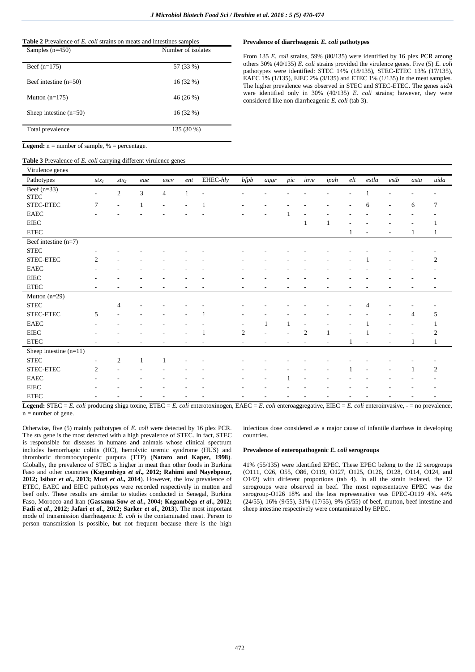| <b>Table 2</b> Prevalence of E. coli strains on meats and intestines samples |
|------------------------------------------------------------------------------|
|------------------------------------------------------------------------------|

| Samples $(n=450)$        | Number of isolates |
|--------------------------|--------------------|
| Beef $(n=175)$           | 57 (33 %)          |
| Beef intestine $(n=50)$  | $16(32\%)$         |
| Mutton $(n=175)$         | 46 (26 %)          |
| Sheep intestine $(n=50)$ | $16(32\%)$         |
| Total prevalence         | 135 (30 %)         |

# **Legend:**  $n =$  number of sample,  $% =$  percentage.

# Table 3 Prevalence of E. coli carrying different virulence genes

### Prevalence of diarrheagenic E. coli pathotypes

From 135 E. coli strains, 59% (80/135) were identified by 16 plex PCR among others 30% (40/135) E. coli strains provided the virulence genes. Five (5) E. coli pathotypes were identified: STEC 14% (18/135), STEC-ETEC 13% (17/135), EAEC 1% (1/135), EIEC 2% (3/135) and ETEC 1% (1/135) in the meat samples. The higher prevalence was observed in STEC and STEC-ETEC. The genes uidA were identified only in 30% (40/135) E. coli strains; however, they were considered like non diarrheagenic E. coli (tab 3).

| Virulence genes               |                |                          |                             |                |     |          |                |      |                |                |              |     |       |      |      |                |
|-------------------------------|----------------|--------------------------|-----------------------------|----------------|-----|----------|----------------|------|----------------|----------------|--------------|-----|-------|------|------|----------------|
| Pathotypes                    | $stx_1$        | $stx_2$                  | eae                         | escv           | ent | EHEC-hly | bfpb           | aggr | $\mathop{pic}$ | inve           | ipah         | elt | estla | estb | asta | uida           |
| Beef $(n=33)$<br>${\rm STEC}$ | ٠              | $\sqrt{2}$               | $\ensuremath{\mathfrak{Z}}$ | $\overline{4}$ |     |          |                |      |                |                |              |     |       |      |      |                |
| STEC-ETEC                     | $\tau$         | $\overline{\phantom{a}}$ | 1                           |                |     |          |                |      |                |                |              |     | 6     |      | 6    | 7              |
| <b>EAEC</b>                   |                |                          |                             |                |     |          |                |      |                |                |              |     |       |      |      |                |
| ${\rm EIEC}$                  |                |                          |                             |                |     |          |                |      |                | 1              | $\mathbf{1}$ |     |       |      |      |                |
| ${\rm ETEC}$                  |                |                          |                             |                |     |          |                |      |                |                |              |     |       | ٠    |      |                |
| Beef intestine (n=7)          |                |                          |                             |                |     |          |                |      |                |                |              |     |       |      |      |                |
| ${\rm STEC}$                  |                |                          |                             |                |     |          |                |      |                |                |              |     |       |      |      |                |
| STEC-ETEC                     | $\overline{2}$ |                          |                             |                |     |          |                |      |                |                |              |     |       |      |      | 2              |
| <b>EAEC</b>                   |                |                          |                             |                |     |          |                |      |                |                |              |     |       |      |      |                |
| ${\rm EIEC}$                  |                |                          |                             |                |     |          |                |      |                |                |              |     |       |      |      |                |
| ${\rm ETEC}$                  | ٠              |                          |                             |                |     |          | ۰              |      |                |                |              |     |       |      |      |                |
| Mutton $(n=29)$               |                |                          |                             |                |     |          |                |      |                |                |              |     |       |      |      |                |
| ${\rm STEC}$                  |                | $\overline{4}$           |                             |                |     |          |                |      |                |                |              |     |       |      |      |                |
| STEC-ETEC                     | 5              |                          |                             |                |     |          |                |      |                |                |              |     |       |      | 4    | 5              |
| ${\rm EAEC}$                  |                |                          |                             |                |     |          |                | 1    | 1              |                |              |     |       |      |      |                |
| ${\rm EIEC}$                  |                |                          |                             |                |     |          | $\mathfrak{2}$ |      |                | $\overline{2}$ |              |     |       |      |      | $\overline{2}$ |
| ${\rm ETEC}$                  |                |                          |                             |                |     |          | ٠              | ٠    |                |                |              |     |       |      | 1    | 1              |
| Sheep intestine $(n=11)$      |                |                          |                             |                |     |          |                |      |                |                |              |     |       |      |      |                |
| ${\rm STEC}$                  |                | $\sqrt{2}$               | 1                           |                |     |          |                |      |                |                |              |     |       |      |      |                |
| STEC-ETEC                     | $\overline{c}$ |                          |                             |                |     |          |                |      |                |                |              |     |       |      |      | $\mathfrak{2}$ |
| <b>EAEC</b>                   |                |                          |                             |                |     |          |                |      |                |                |              |     |       |      |      |                |
| ${\rm EIEC}$                  |                |                          |                             |                |     |          |                |      |                |                |              |     |       |      |      |                |
| <b>ETEC</b>                   |                |                          |                             |                |     |          |                |      |                |                |              |     |       |      |      |                |

**Legend:** STEC = E. coli producing shiga toxine, ETEC = E. coli enterotoxinogen, EAEC = E. coli enteroaggregative, EIEC = E. coli enteroinvasive, - = no prevalence,  $n = number of gene$ .

Otherwise, five (5) mainly pathotypes of E. coli were detected by 16 plex PCR. The stx gene is the most detected with a high prevalence of STEC. In fact, STEC is responsible for diseases in humans and animals whose clinical spectrum includes hemorrhagic colitis (HC), hemolytic uremic syndrome (HUS) and thrombotic thrombocytopenic purpura (TTP) (Nataro and Kaper, 1998).<br>Globally, the prevalence of STEC is higher in meat than other foods in Burkina Faso and other countries (Kagambèga et al., 2012; Rahimi and Nayebpour, 2012; Isibor et al., 2013; Mori et al., 2014). However, the low prevalence of ETEC, EAEC and EIEC pathotypes were recorded respectively in mutton and beef only. These results are similar to studies conducted in Senegal, Burkina Faso, Morocco and Iran (Gassama-Sow et al., 2004; Kagambèga et al., 2012; Fadi et al., 2012; Jafari et al., 2012; Sarker et al., 2013). The most important mode of transmission diarrheagenic E. coli is the contaminated meat. Person to person transmission is possible, but not frequent because there is the high

infectious dose considered as a major cause of infantile diarrheas in developing countries.

### Prevalence of enteropathogenic E. coli serogroups

41% (55/135) were identified EPEC. These EPEC belong to the 12 serogroups (0111, 026, 055, 086, 0119, 0127, 0125, 0126, 0128, 0114, 0124, and O142) with different proportions (tab 4). In all the strain isolated, the 12 serogroups were observed in beef. The most representative EPEC was the serogroup-O126 18% and the less representative was EPEC-O119 4%. 44%  $(24/55)$ , 16%  $(9/55)$ , 31%  $(17/55)$ , 9%  $(5/55)$  of beef, mutton, beef intestine and sheep intestine respectively were contaminated by EPEC.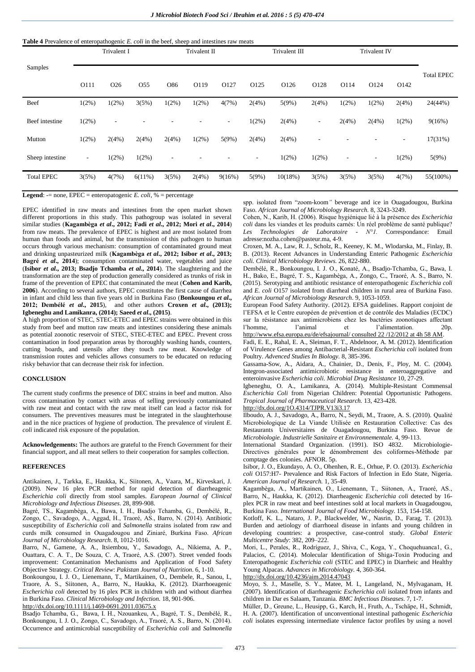#### **Table 4** Prevalence of enteropathogenic *E. coli* in the beef, sheep and intestines raw meats

|                   | Trivalent I |                          |                 | Trivalent II             |                                      |        |                          | Trivalent III |          | Trivalent IV             |          |          |          |
|-------------------|-------------|--------------------------|-----------------|--------------------------|--------------------------------------|--------|--------------------------|---------------|----------|--------------------------|----------|----------|----------|
| Samples           | O111        | O <sub>26</sub>          | O <sub>55</sub> | O86                      | O127<br>O125<br>O126<br>O128<br>O119 |        | O114                     | O124          | O142     | <b>Total EPEC</b>        |          |          |          |
| Beef              | $1(2\%)$    | $1(2\%)$                 | 3(5%)           | $1(2\%)$                 | $1(2\%)$                             | 4(7%)  | 2(4%)                    | 5(9%)         | 2(4%)    | $1(2\%)$                 | $1(2\%)$ | 2(4%)    | 24(44%)  |
| Beef intestine    | $1(2\%)$    | $\overline{\phantom{a}}$ |                 |                          |                                      | ٠      | $1(2\%)$                 | 2(4%)         | ٠        | 2(4%)                    | 2(4%)    | $1(2\%)$ | 9(16%)   |
| Mutton            | $1(2\%)$    | 2(4%)                    | 2(4%)           | 2(4%)                    | $1(2\%)$                             | 5(9%)  | 2(4%)                    | 2(4%)         |          |                          |          | $\sim$   | 17(31%)  |
| Sheep intestine   | $\sim$      | $1(2\%)$                 | $1(2\%)$        | $\overline{\phantom{a}}$ |                                      |        | $\overline{\phantom{a}}$ | 1(2%)         | $1(2\%)$ | $\overline{\phantom{a}}$ | ٠        | $1(2\%)$ | 5(9%)    |
| <b>Total EPEC</b> | 3(5%)       | 4(7%)                    | 6(11%)          | 3(5%)                    | 2(4%)                                | 9(16%) | 5(9%)                    | 10(18%)       | 3(5%)    | 3(5%)                    | 3(5%)    | 4(7%)    | 55(100%) |

**Legend**:  $=$  none, EPEC = enteropatogenic *E. coli*,  $%$  = percentage

EPEC identified in raw meats and intestines from the open market shown different proportions in this study. This pathogroup was isolated in several similar studies (**Kagambèga** *et al***., 2012; Fadi** *et al***., 2012; Mori** *et al***., 2014**) from raw meats. The prevalence of EPEC is highest and are most isolated from human than foods and animal, but the transmission of this pathogen to human occurs through various mechanism: consumption of contaminated ground meat and drinking unpasteurized milk (**Kagambèga** *et al***., 2012; Isibor** *et al***., 2013; Bagré** *et al***., 2014**); consumption contaminated water, vegetables and juice (**Isibor** *et al***., 2013; Bsadjo Tchamba** *et al***., 2014**). The slaughtering and the transformation are the step of production generally considered as trunks of risk in frame of the prevention of EPEC that contaminated the meat (**Cohen and Karib, 2006**). According to several authors, EPEC constitutes the first cause of diarrhea in infant and child less than five years old in Burkina Faso (**Bonkoungou** *et al***., 2012; Dembélé** *et al***., 2015**), and other authors **Croxen** *et al***., (2013); Igbeneghu and Lamikanra, (2014); Saeed** *et al***., (2015)**.

A high proportion of STEC, STEC-ETEC and EPEC strains were obtained in this study from beef and mutton raw meats and intestines considering these animals as potential zoonotic reservoir of STEC, STEC-ETEC and EPEC. Prevent cross contamination in food preparation areas by thoroughly washing hands, counters, cutting boards, and utensils after they touch raw meat. Knowledge of transmission routes and vehicles allows consumers to be educated on reducing risky behavior that can decrease their risk for infection.

## **CONCLUSION**

The current study confirms the presence of DEC strains in beef and mutton. Also cross contamination by contact with areas of selling previously contaminated with raw meat and contact with the raw meat itself can lead a factor risk for consumers. The preventives measures must be integrated in the slaughterhouse and in the nice practices of hygiene of production. The prevalence of virulent *E. coli* indicated risk exposure of the population.

**Acknowledgements:** The authors are grateful to the French Government for their financial support, and all meat sellers to their cooperation for samples collection.

### **REFERENCES**

Antikainen, J., Tarkka, E., Haukka, K., Siitonen, A., Vaara, M., Kirveskari, J. (2009). New 16 plex PCR method for rapid detection of diarrheagenic *Escherichia coli* directly from stool samples. *European Journal of Clinical Microbiology and Infectious Diseases*. 28, 899-908.

Bagré, TS., Kagambèga, A., Bawa, I. H., Bsadjo Tchamba, G., Dembélé, R., Zongo, C., Savadogo, A., Aggad, H., Traoré, AS., Barro, N. (2014). Antibiotic susceptibility of *Escherichia coli* and *Salmonella* strains isolated from raw and curds milk consumed in Ouagadougou and Ziniaré, Burkina Faso. *African Journal of Microbiology Research*. 8, 1012-1016.

Barro, N., Gamene, A. A., Itsiembou, Y., Sawadogo, A., Nikiema, A. P., Ouattara, C. A. T., De Souza, C. A, Traoré, A.S. (2007). Street vended foods improvement: Contamination Mechanisms and Application of Food Safety Objective Strategy. *Critical Review*: *Pakistan Journal of Nutrition*. 6, 1-10.

Bonkoungou, I. J. O., Lienemann, T., Martikainen, O., Dembele, R., Sanou, I., Traore, A. S., Siitonen, A., Barro, N., Haukka, K. (2012). Diarrhoeagenic *Escherichia coli* detected by 16 plex PCR in children with and without diarrhea in Burkina Faso. *Clinical Microbiology and Infection.* 18, 901-906.

http://dx.doi.org/10.1111/j.1469-0691.2011.03675.x

Bsadjo Tchamba, G., Bawa, I. H., Nzouankeu, A., Bagré, T. S., Dembélé, R., Bonkoungou, I. J. O., Zongo, C., Savadogo, A., Traoré, A. S., Barro, N. (2014). Occurrence and antimicrobial susceptibility of *Escherichia coli* and *Salmonella* 

spp. isolated from "zoom-koom*"* beverage and ice in Ouagadougou, Burkina Faso. *African Journal of Microbiology Research.* 8, 3243-3249.

Cohen, N., Karib, H. (2006). Risque hygiénique lié à la présence des *Escherichia coli* dans les viandes et les produits carnés: Un réel problème de santé publique? *Les Technologies de Laboratoire - N°1.* Correspondance: Email adresse:nozha.cohen@pasteur.ma, 4-9.

Croxen, M. A., Law, R. J., Scholz, R., Keeney, K. M., Wlodarska, M., Finlay, B. B. (2013). Recent Advances in Understanding Enteric Pathogenic *Escherichia coli. Clinical Microbiology Reviews.* 26, 822-880.

Dembélé, R., Bonkoungou, I. J. O., Konaté, A., Bsadjo-Tchamba, G., Bawa, I. H., Bako, E., Bagré, T. S., Kagambèga, A., Zongo, C., Traoré, A. S., Barro, N. (2015). Serotyping and antibiotic resistance of enteropathogenic *Escherichia coli* and *E. coli* O157 isolated from diarrheal children in rural area of Burkina Faso. *African Journal of Microbiology Research.* 9, 1053-1059.

European Food Safety Authority. (2012). EFSA guidelines. Rapport conjoint de l'EFSA et le Centre européen de prévention et de contrôle des Maladies (ECDC) sur la résistance aux antimicrobiens chez les bactéries zoonotiques affectant l'homme, l'animal et l'alimentation. 20p. l'alimentation

http://www.efsa.europa.eu/de/efsajournal/ consulted 22 /12/2012 at 4h 58 AM.

Fadi, E. E., Rahal, E. A.*,* Sleiman, F. T., Abdelnoor, A. M. (2012). Identification of Virulence Genes among Antibacterial-Resistant *Escherichia coli* isolated from Poultry. *Advenced Studies In Biology.* 8, 385-396.

Gassama-Sow, A., Aidara, A., Chainier, D., Denis, F., Ploy, M. C. (2004). Integron-associated antimicrobiotic resistance in enteroaggregative and enteroinvasive *Escherichia coli*. *Microbial Drug Resistance* 10, 27-29.

Igbeneghu, O. A., Lamikanra, A. (2014). Multiple-Resistant Commensal *Escherichia Coli* from Nigerian Children: Potential Opportunistic Pathogens. *Tropical Journal of Pharmaceutical Research.* 13, 423-428.

http://dx.doi.org/1O.4314/TJPR.V13i3.17

Ilboudo, A. J., Savadogo, A., Barro, N., Seydi, M., Traore, A. S. (2010). Qualité Microbiologique de La Viande Utilisée en Restauration Collective: Cas des Restaurants Universitaires de Ouagadougou, Burkina Faso. Revue de *Microbiologie. Industrielle Sanitaire et Environnementale.* 4, 99-113.

International Standard Organization. (1991). ISO 4832. Microbiologie-Directives générales pour le dénombrement des coliformes-Méthode par comptage des colonies. AFNOR. 5p.

Isibor, J. O., Ekundayo, A. O., Ohenhen, R. E., Orhue, P. O. (2013). *Escherichia coli* O157:H7- Prevalence and Risk Factors of Infection in Edo State, Nigeria. *American Journal of Research.* 1, 35-49.

Kagambèga, A., Martikainen, O., Lienemann, T., Siitonen, A., Traoré, AS., Barro, N., Haukka, K. (2012). Diarrheagenic *Escherichia coli* detected by 16 plex PCR in raw meat and beef intestines sold at local markets in Ouagadougou, Burkina Faso. *International Journal of Food Microbiology.* 153, 154-158.

Kotloff, K. L., Nataro, J. P., Blackwelder, W., Nasrin, D., Farag, T. (2013). Burden and aetiology of diarrhoeal disease in infants and young children in developing countries: a prospective, case-control study. *Global Enteric Multicentre Study*: 382, 209–222.

Mori, L., Perales, R., Rodríguez, J., Shiva, C., Koga, Y., Choquehuanca1, G., Palacios, C. (2014). Molecular Identification of Shiga-Toxin Producing and Enteropathogenic *Escherichia coli* (STEC and EPEC) in Diarrheic and Healthy Young Alpacas. *Advances in Microbiology.* 4, 360-364.

http://dx.doi.org/10.4236/aim.2014.47043

Moyo, S. J., Maselle, S. Y., Matee, M. I., Langeland, N., Mylvaganam, H. (2007). Identification of diarrheagenic *Escherichia coli* isolated from infants and children in Dar es Salaam, Tanzania. *BMC Infectious Diseases.* 7, 1-7.

Müller, D., Greune, L., Heusipp, G., Karch, H., Fruth, A., Tschäpe, H., Schmidt, H. A. (2007). Identification of unconventional intestinal pathogenic *Escherichia coli* isolates expressing intermediate virulence factor profiles by using a novel